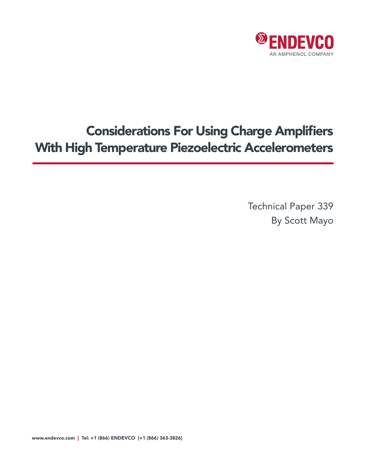

# Considerations For Using Charge Amplifiers With High Temperature Piezoelectric Accelerometers

Technical Paper 339 By Scott Mayo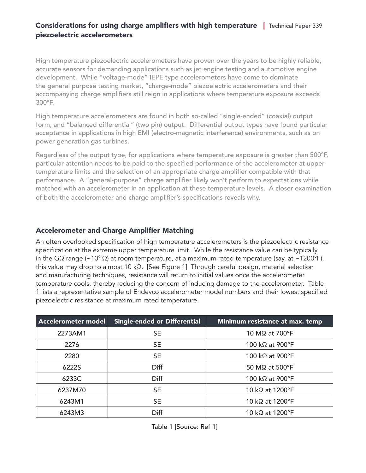# Considerations for using charge amplifiers with high temperature | Technical Paper 339 piezoelectric accelerometers

High temperature piezoelectric accelerometers have proven over the years to be highly reliable, accurate sensors for demanding applications such as jet engine testing and automotive engine development. While "voltage-mode" IEPE type accelerometers have come to dominate the general purpose testing market, "charge-mode" piezoelectric accelerometers and their accompanying charge amplifiers still reign in applications where temperature exposure exceeds 300°F.

High temperature accelerometers are found in both so-called "single-ended" (coaxial) output form, and "balanced differential" (two pin) output. Differential output types have found particular acceptance in applications in high EMI (electro-magnetic interference) environments, such as on power generation gas turbines.

Regardless of the output type, for applications where temperature exposure is greater than 500°F, particular attention needs to be paid to the specified performance of the accelerometer at upper temperature limits and the selection of an appropriate charge amplifier compatible with that performance. A "general-purpose" charge amplifier likely won't perform to expectations while matched with an accelerometer in an application at these temperature levels. A closer examination of both the accelerometer and charge amplifier's specifications reveals why.

# Accelerometer and Charge Amplifier Matching

An often overlooked specification of high temperature accelerometers is the piezoelectric resistance specification at the extreme upper temperature limit. While the resistance value can be typically in the GΩ range (~10° Ω) at room temperature, at a maximum rated temperature (say, at ~1200°F), this value may drop to almost 10 kΩ. [See Figure 1] Through careful design, material selection and manufacturing techniques, resistance will return to initial values once the accelerometer temperature cools, thereby reducing the concern of inducing damage to the accelerometer. Table 1 lists a representative sample of Endevco accelerometer model numbers and their lowest specified piezoelectric resistance at maximum rated temperature.

| Accelerometer model | <b>Single-ended or Differential</b> | Minimum resistance at max. temp |  |
|---------------------|-------------------------------------|---------------------------------|--|
| 2273AM1             | <b>SE</b>                           | 10 MΩ at 700°F                  |  |
| 2276                | <b>SE</b>                           | 100 kΩ at 900°F                 |  |
| 2280                | <b>SE</b>                           | 100 kΩ at 900°F                 |  |
| 6222S               | Diff                                | 50 MΩ at 500°F                  |  |
| 6233C               | Diff                                | 100 kΩ at 900°F                 |  |
| 6237M70             | <b>SE</b>                           | 10 kΩ at 1200°F                 |  |
| 6243M1              | <b>SE</b>                           | 10 kΩ at 1200°F                 |  |
| 6243M3              | Diff                                | 10 kΩ at 1200°F                 |  |

Table 1 [Source: Ref 1]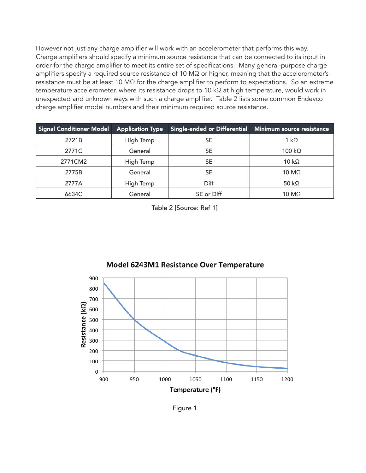However not just any charge amplifier will work with an accelerometer that performs this way. Charge amplifiers should specify a minimum source resistance that can be connected to its input in order for the charge amplifier to meet its entire set of specifications. Many general-purpose charge amplifiers specify a required source resistance of 10 MΩ or higher, meaning that the accelerometer's resistance must be at least 10 MΩ for the charge amplifier to perform to expectations. So an extreme temperature accelerometer, where its resistance drops to 10 kΩ at high temperature, would work in unexpected and unknown ways with such a charge amplifier. Table 2 lists some common Endevco charge amplifier model numbers and their minimum required source resistance.

| Signal Conditioner Model | <b>Application Type</b> | Single-ended or Differential Minimum source resistance |                      |
|--------------------------|-------------------------|--------------------------------------------------------|----------------------|
| 2721B                    | High Temp               | <b>SE</b>                                              | 1 k $\Omega$         |
| 2771C                    | General                 | SE                                                     | $100 k\Omega$        |
| 2771CM2                  | High Temp               | <b>SE</b>                                              | $10 k\Omega$         |
| 2775B                    | General                 | <b>SE</b>                                              | $10 \text{ M}\Omega$ |
| 2777A                    | High Temp               | Diff                                                   | 50 k $\Omega$        |
| 6634C                    | General                 | SE or Diff                                             | $10 \text{ M}\Omega$ |

Table 2 [Source: Ref 1]



# Model 6243M1 Resistance Over Temperature

Figure 1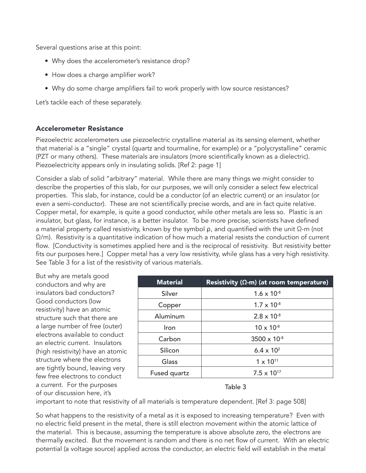Several questions arise at this point:

- Why does the accelerometer's resistance drop?
- How does a charge amplifier work?
- Why do some charge amplifiers fail to work properly with low source resistances?

Let's tackle each of these separately.

## Accelerometer Resistance

Piezoelectric accelerometers use piezoelectric crystalline material as its sensing element, whether that material is a "single" crystal (quartz and tourmaline, for example) or a "polycrystalline" ceramic (PZT or many others). These materials are insulators (more scientifically known as a dielectric). Piezoelectricity appears only in insulating solids. [Ref 2: page 1]

Consider a slab of solid "arbitrary" material. While there are many things we might consider to describe the properties of this slab, for our purposes, we will only consider a select few electrical properties. This slab, for instance, could be a conductor (of an electric current) or an insulator (or even a semi-conductor). These are not scientifically precise words, and are in fact quite relative. Copper metal, for example, is quite a good conductor, while other metals are less so. Plastic is an insulator, but glass, for instance, is a better insulator. To be more precise, scientists have defined a material property called resistivity, known by the symbol ρ, and quantified with the unit Ω-m (not  $\Omega/m$ ). Resistivity is a quantitative indication of how much a material resists the conduction of current flow. [Conductivity is sometimes applied here and is the reciprocal of resistivity. But resistivity better fits our purposes here.] Copper metal has a very low resistivity, while glass has a very high resistivity. See Table 3 for a list of the resistivity of various materials.

But why are metals good conductors and why are insulators bad conductors? Good conductors (low resistivity) have an atomic structure such that there are a large number of free (outer) electrons available to conduct an electric current. Insulators (high resistivity) have an atomic structure where the electrons are tightly bound, leaving very few free electrons to conduct a current. For the purposes of our discussion here, it's

| <b>Material</b> | Resistivity ( $\Omega$ -m) (at room temperature) |
|-----------------|--------------------------------------------------|
| Silver          | $1.6 \times 10^{-8}$                             |
| Copper          | $1.7 \times 10^{-8}$                             |
| Aluminum        | $2.8 \times 10^{-8}$                             |
| Iron            | $10 \times 10^{-8}$                              |
| Carbon          | $3500 \times 10^{-8}$                            |
| Silicon         | 6.4 $\times$ 10 <sup>2</sup>                     |
| Glass           | $1 \times 10^{11}$                               |
| Fused quartz    | $7.5 \times 10^{17}$                             |

#### Table 3

important to note that resistivity of all materials is temperature dependent. [Ref 3: page 508]

So what happens to the resistivity of a metal as it is exposed to increasing temperature? Even with no electric field present in the metal, there is still electron movement within the atomic lattice of the material. This is because, assuming the temperature is above absolute zero, the electrons are thermally excited. But the movement is random and there is no net flow of current. With an electric potential (a voltage source) applied across the conductor, an electric field will establish in the metal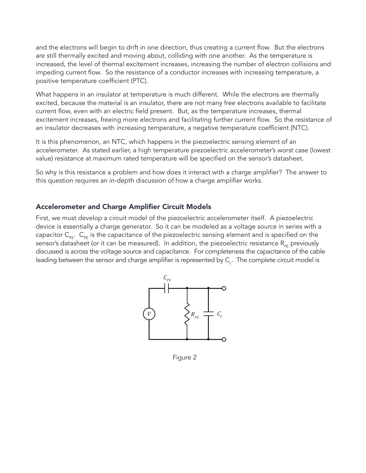and the electrons will begin to drift in one direction, thus creating a current flow. But the electrons are still thermally excited and moving about, colliding with one another. As the temperature is increased, the level of thermal excitement increases, increasing the number of electron collisions and impeding current flow. So the resistance of a conductor increases with increasing temperature, a positive temperature coefficient (PTC).

What happens in an insulator at temperature is much different. While the electrons are thermally excited, because the material is an insulator, there are not many free electrons available to facilitate current flow, even with an electric field present. But, as the temperature increases, thermal excitement increases, freeing more electrons and facilitating further current flow. So the resistance of an insulator decreases with increasing temperature, a negative temperature coefficient (NTC).

It is this phenomenon, an NTC, which happens in the piezoelectric sensing element of an accelerometer. As stated earlier, a high temperature piezoelectric accelerometer's worst case (lowest value) resistance at maximum rated temperature will be specified on the sensor's datasheet.

So why is this resistance a problem and how does it interact with a charge amplifier? The answer to this question requires an in-depth discussion of how a charge amplifier works.

# Accelerometer and Charge Amplifier Circuit Models

First, we must develop a circuit model of the piezoelectric accelerometer itself. A piezoelectric device is essentially a charge generator. So it can be modeled as a voltage source in series with a capacitor  $C_{p_F}$ .  $C_{p_F}$  is the capacitance of the piezoelectric sensing element and is specified on the sensor's datasheet (or it can be measured). In addition, the piezoelectric resistance  $R_{\text{pc}}$  previously discussed is across the voltage source and capacitance. For completeness the capacitance of the cable leading between the sensor and charge amplifier is represented by  $\mathsf{C}_\varepsilon.$  The complete circuit model is



Figure 2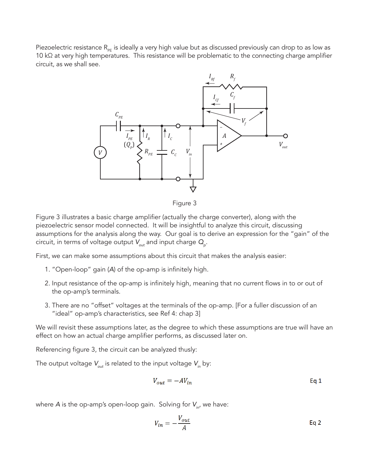Piezoelectric resistance  $R_{\text{PE}}$  is ideally a very high value but as discussed previously can drop to as low as 10 kΩ at very high temperatures. This resistance will be problematic to the connecting charge amplifier circuit, as we shall see.



Figure 3

Figure 3 illustrates a basic charge amplifier (actually the charge converter), along with the piezoelectric sensor model connected. It will be insightful to analyze this circuit, discussing assumptions for the analysis along the way. Our goal is to derive an expression for the "gain" of the circuit, in terms of voltage output  $V_{_{\mathrm{out}}}$  and input charge  $\mathbf{Q}_{_{\mathrm{p}}}$ .

First, we can make some assumptions about this circuit that makes the analysis easier:

- 1. "Open-loop" gain (*A*) of the op-amp is infinitely high.
- 2. Input resistance of the op-amp is infinitely high, meaning that no current flows in to or out of the op-amp's terminals.
- 3. There are no "offset" voltages at the terminals of the op-amp. [For a fuller discussion of an "ideal" op-amp's characteristics, see Ref 4: chap 3]

We will revisit these assumptions later, as the degree to which these assumptions are true will have an effect on how an actual charge amplifier performs, as discussed later on.

Referencing figure 3, the circuit can be analyzed thusly:

The output voltage  $V_{\text{out}}$  is related to the input voltage  $V_{\text{in}}$  by:

$$
V_{out} = -AV_{in}
$$
 Eq 1

where A is the op-amp's open-loop gain. Solving for V<sub>in</sub>, we have:

$$
V_{in} = -\frac{V_{out}}{A}
$$
 Eq 2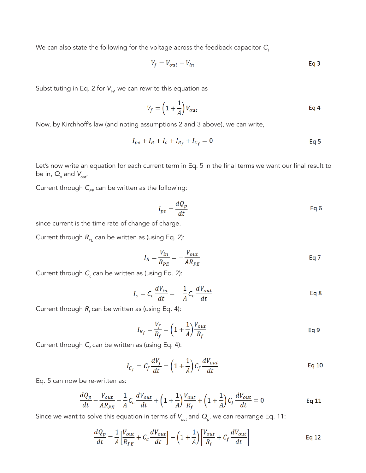We can also state the following for the voltage across the feedback capacitor  $C_f$ 

$$
V_f = V_{out} - V_{in}
$$
 Eq 3

Substituting in Eq. 2 for  $V_{in}$ , we can rewrite this equation as

$$
V_f = \left(1 + \frac{1}{A}\right) V_{out} \tag{Eq 4}
$$

Now, by Kirchhoff's law (and noting assumptions 2 and 3 above), we can write,

$$
I_{pe} + I_R + I_c + I_{R_f} + I_{C_f} = 0
$$
 Eq 5

Let's now write an equation for each current term in Eq. 5 in the final terms we want our final result to be in,  $\textsf{Q}_{{}_{p}}$  and  $\textsf{V}_{_{\sf out}}$ .

Current through  $C_{PE}$  can be written as the following:

$$
I_{pe} = \frac{dQ_p}{dt}
$$
 Eq 6

since current is the time rate of change of charge.

Current through  $R_{PE}$  can be written as (using Eq. 2):

$$
I_R = \frac{V_{in}}{R_{PE}} = -\frac{V_{out}}{AR_{PE}}
$$
 Eq 7

Current through *C<sub>c</sub>* can be written as (using Eq. 2):

$$
I_c = C_c \frac{dV_{in}}{dt} = -\frac{1}{A} C_c \frac{dV_{out}}{dt}
$$
 Eq 8

Current through  $R_{\scriptscriptstyle f}$  can be written as (using Eq. 4):

$$
I_{R_f} = \frac{V_f}{R_f} = \left(1 + \frac{1}{A}\right) \frac{V_{out}}{R_f}
$$
 Eq 9

Current through  $C_{\!f}$  can be written as (using Eq. 4):

$$
I_{C_f} = C_f \frac{dV_f}{dt} = \left(1 + \frac{1}{A}\right) C_f \frac{dV_{out}}{dt}
$$
 Eq 10

Eq. 5 can now be re-written as:

$$
\frac{dQ_p}{dt} - \frac{V_{out}}{AR_{PE}} - \frac{1}{A}C_c\frac{dV_{out}}{dt} + \left(1 + \frac{1}{A}\right)\frac{V_{out}}{R_f} + \left(1 + \frac{1}{A}\right)C_f\frac{dV_{out}}{dt} = 0
$$
 Eq 11

Since we want to solve this equation in terms of  $V_{_{\mathrm{out}}}$  and  $\overline{Q}_{_{\mathrm{\rho}}}$ , we can rearrange Eq. 11:

$$
\frac{dQ_p}{dt} = \frac{1}{A} \left[ \frac{V_{out}}{R_{PE}} + C_c \frac{dV_{out}}{dt} \right] - \left( 1 + \frac{1}{A} \right) \left[ \frac{V_{out}}{R_f} + C_f \frac{dV_{out}}{dt} \right]
$$
\nEq 12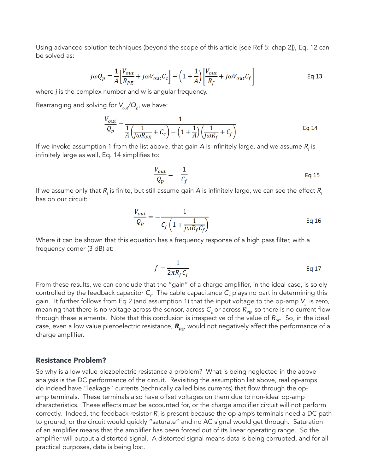Using advanced solution techniques (beyond the scope of this article [see Ref 5: chap 2]), Eq. 12 can be solved as:

$$
j\omega Q_p = \frac{1}{A} \left[ \frac{V_{out}}{R_{PE}} + j\omega V_{out} C_c \right] - \left( 1 + \frac{1}{A} \right) \left[ \frac{V_{out}}{R_f} + j\omega V_{out} C_f \right]
$$
 Eq 13

where *j* is the complex number and *w* is angular frequency.

Rearranging and solving for *Vout/Q <sup>p</sup>*, we have:

$$
\frac{V_{out}}{Q_p} = \frac{1}{\frac{1}{A} \left(\frac{1}{j\omega R_{PE}} + C_c\right) - \left(1 + \frac{1}{A}\right) \left(\frac{1}{j\omega R_f} + C_f\right)}
$$
Eq 14

If we invoke assumption 1 from the list above, that gain  $A$  is infinitely large, and we assume  $R_{_f}$  is infinitely large as well, Eq. 14 simplifies to:

$$
\frac{V_{out}}{Q_p} = -\frac{1}{C_f}
$$
 Eq 15

If we assume only that  $R_{_f}$  is finite, but still assume gain  $A$  is infinitely large, we can see the effect  $R_{_f}$ has on our circuit:

$$
\frac{V_{out}}{Q_p} = -\frac{1}{C_f \left(1 + \frac{1}{j\omega R_f C_f}\right)}
$$
 Eq 16

Where it can be shown that this equation has a frequency response of a high pass filter, with a frequency corner (3 dB) at:

$$
f = \frac{1}{2\pi R_f C_f} \tag{Eq 17}
$$

From these results, we can conclude that the "gain" of a charge amplifier, in the ideal case, is solely controlled by the feedback capacitor  $\mathsf{C}_\digamma$  The cable capacitance  $\mathsf{C}_\digamma$  plays no part in determining this gain. It further follows from Eq 2 (and assumption 1) that the input voltage to the op-amp V<sub>in</sub> is zero, meaning that there is no voltage across the sensor, across  $\mathcal{C}_c$  or across  $R_{_{\sf PE'}}$  so there is no current flow through these elements. Note that this conclusion is irrespective of the value of  $R_{\text{per}}$ . So, in the ideal case, even a low value piezoelectric resistance,  $R_{PE}$ , would not negatively affect the performance of a charge amplifier.

#### Resistance Problem?

So why is a low value piezoelectric resistance a problem? What is being neglected in the above analysis is the DC performance of the circuit. Revisiting the assumption list above, real op-amps do indeed have "leakage" currents (technically called bias currents) that flow through the opamp terminals. These terminals also have offset voltages on them due to non-ideal op-amp characteristics. These effects must be accounted for, or the charge amplifier circuit will not perform correctly. Indeed, the feedback resistor  $R_{\rm f}$  is present because the op-amp's terminals need a DC path to ground, or the circuit would quickly "saturate" and no AC signal would get through. Saturation of an amplifier means that the amplifier has been forced out of its linear operating range. So the amplifier will output a distorted signal. A distorted signal means data is being corrupted, and for all practical purposes, data is being lost.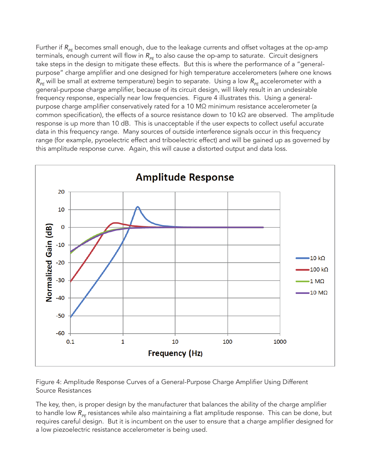Further if R<sub>PF</sub> becomes small enough, due to the leakage currents and offset voltages at the op-amp terminals, enough current will flow in R<sub>PE</sub> to also cause the op-amp to saturate. Circuit designers take steps in the design to mitigate these effects. But this is where the performance of a "generalpurpose" charge amplifier and one designed for high temperature accelerometers (where one knows *R*<sub>PE</sub> will be small at extreme temperature) begin to separate. Using a low *R*<sub>PE</sub> accelerometer with a general-purpose charge amplifier, because of its circuit design, will likely result in an undesirable frequency response, especially near low frequencies. Figure 4 illustrates this. Using a generalpurpose charge amplifier conservatively rated for a 10 MΩ minimum resistance accelerometer (a common specification), the effects of a source resistance down to 10 kΩ are observed. The amplitude response is up more than 10 dB. This is unacceptable if the user expects to collect useful accurate data in this frequency range. Many sources of outside interference signals occur in this frequency range (for example, pyroelectric effect and triboelectric effect) and will be gained up as governed by this amplitude response curve. Again, this will cause a distorted output and data loss.



Figure 4: Amplitude Response Curves of a General-Purpose Charge Amplifier Using Different Source Resistances

The key, then, is proper design by the manufacturer that balances the ability of the charge amplifier to handle low R<sub>PE</sub> resistances while also maintaining a flat amplitude response. This can be done, but requires careful design. But it is incumbent on the user to ensure that a charge amplifier designed for a low piezoelectric resistance accelerometer is being used.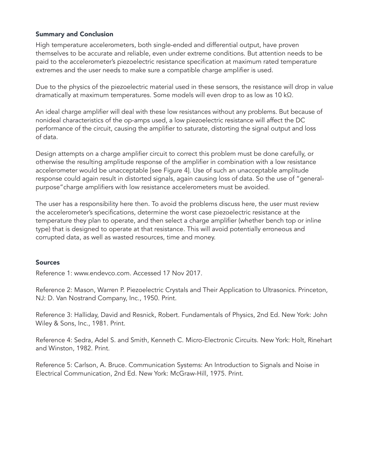#### Summary and Conclusion

High temperature accelerometers, both single-ended and differential output, have proven themselves to be accurate and reliable, even under extreme conditions. But attention needs to be paid to the accelerometer's piezoelectric resistance specification at maximum rated temperature extremes and the user needs to make sure a compatible charge amplifier is used.

Due to the physics of the piezoelectric material used in these sensors, the resistance will drop in value dramatically at maximum temperatures. Some models will even drop to as low as 10 kΩ.

An ideal charge amplifier will deal with these low resistances without any problems. But because of nonideal characteristics of the op-amps used, a low piezoelectric resistance will affect the DC performance of the circuit, causing the amplifier to saturate, distorting the signal output and loss of data.

Design attempts on a charge amplifier circuit to correct this problem must be done carefully, or otherwise the resulting amplitude response of the amplifier in combination with a low resistance accelerometer would be unacceptable [see Figure 4]. Use of such an unacceptable amplitude response could again result in distorted signals, again causing loss of data. So the use of "generalpurpose"charge amplifiers with low resistance accelerometers must be avoided.

The user has a responsibility here then. To avoid the problems discuss here, the user must review the accelerometer's specifications, determine the worst case piezoelectric resistance at the temperature they plan to operate, and then select a charge amplifier (whether bench top or inline type) that is designed to operate at that resistance. This will avoid potentially erroneous and corrupted data, as well as wasted resources, time and money.

#### Sources

Reference 1: www.endevco.com. Accessed 17 Nov 2017.

Reference 2: Mason, Warren P. Piezoelectric Crystals and Their Application to Ultrasonics. Princeton, NJ: D. Van Nostrand Company, Inc., 1950. Print.

Reference 3: Halliday, David and Resnick, Robert. Fundamentals of Physics, 2nd Ed. New York: John Wiley & Sons, Inc., 1981. Print.

Reference 4: Sedra, Adel S. and Smith, Kenneth C. Micro-Electronic Circuits. New York: Holt, Rinehart and Winston, 1982. Print.

Reference 5: Carlson, A. Bruce. Communication Systems: An Introduction to Signals and Noise in Electrical Communication, 2nd Ed. New York: McGraw-Hill, 1975. Print.